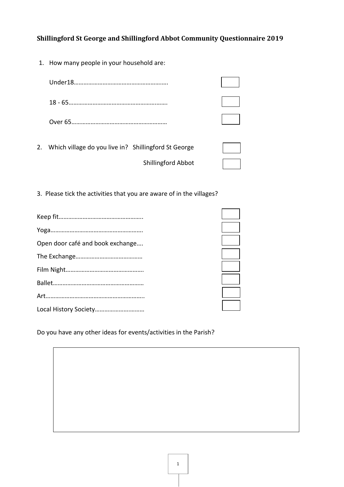1. How many people in your household are:

| 2. | Which village do you live in? Shillingford St George |  |
|----|------------------------------------------------------|--|

Shillingford Abbot

|  | 3. Please tick the activities that you are aware of in the villages? |
|--|----------------------------------------------------------------------|

| Open door café and book exchange |  |
|----------------------------------|--|
|                                  |  |
|                                  |  |
|                                  |  |
|                                  |  |
|                                  |  |

Do you have any other ideas for events/activities in the Parish?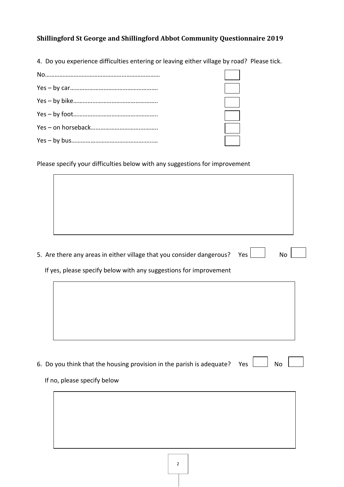4. Do you experience difficulties entering or leaving either village by road? Please tick.

Please specify your difficulties below with any suggestions for improvement

5. Are there any areas in either village that you consider dangerous? Yes  $\Box$  No

If yes, please specify below with any suggestions for improvement

| 6. Do you think that the housing provision in the parish is adequate? Yes $\perp$ | No |
|-----------------------------------------------------------------------------------|----|
|-----------------------------------------------------------------------------------|----|

#### If no, please specify below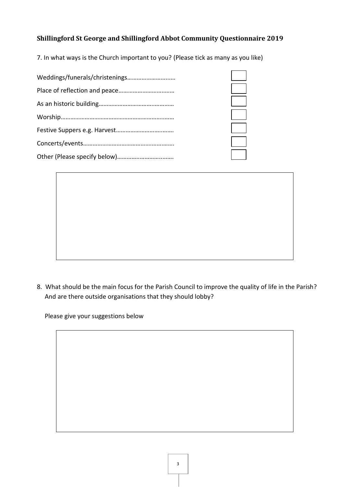7. In what ways is the Church important to you? (Please tick as many as you like)



8. What should be the main focus for the Parish Council to improve the quality of life in the Parish? And are there outside organisations that they should lobby?

Please give your suggestions below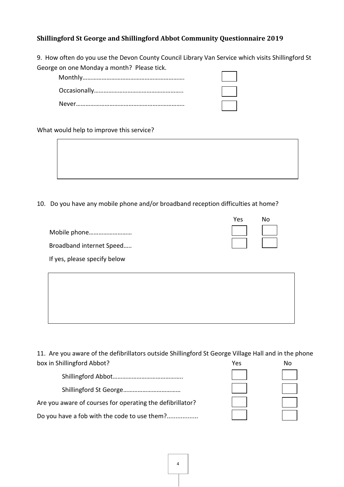9. How often do you use the Devon County Council Library Van Service which visits Shillingford St George on one Monday a month? Please tick.

What would help to improve this service?

10. Do you have any mobile phone and/or broadband reception difficulties at home?

|                              | Yes | Nο |
|------------------------------|-----|----|
|                              |     |    |
| Broadband internet Speed     |     |    |
| If yes, please specify below |     |    |

11. Are you aware of the defibrillators outside Shillingford St George Village Hall and in the phone box in Shillingford Abbot? No was not also as a set of the No was not also well as  $N$  No  $N$ 

| Are you aware of courses for operating the defibrillator? |  |
|-----------------------------------------------------------|--|
| Do you have a fob with the code to use them?              |  |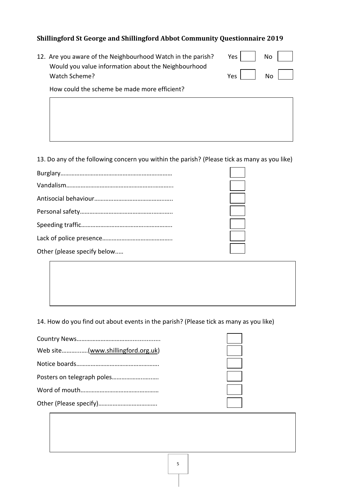12. Are you aware of the Neighbourhood Watch in the parish? Would you value information about the Neighbourhood Watch Scheme? Yes Notes Notes Notes Notes Notes Notes Notes Notes Notes Notes Notes Notes Notes Notes Notes No

| Yes | No |  |
|-----|----|--|
| es/ | No |  |

How could the scheme be made more efficient?

13. Do any of the following concern you within the parish? (Please tick as many as you like)

| Other (please specify below |
|-----------------------------|

14. How do you find out about events in the parish? (Please tick as many as you like)

| Web site(www.shillingford.org.uk) |  |
|-----------------------------------|--|
|                                   |  |
|                                   |  |
|                                   |  |
|                                   |  |